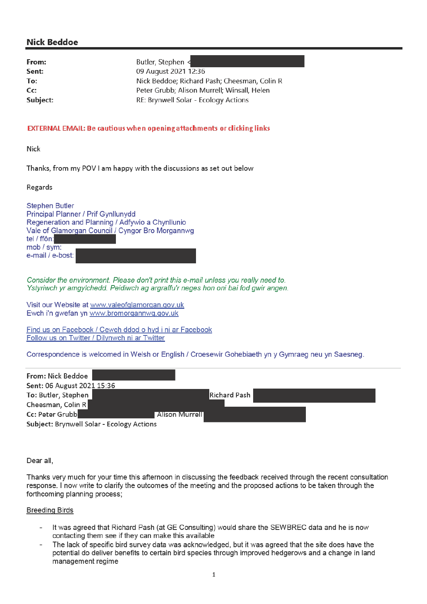# **Nick Beddoe**

From: Sent: To: Cc: **Subject:**  Butler. Stephen < 09 August 2021 12:36 Nick Beddoe; Richard Pash; Cheesman, Colin R Peter Grubb; Alison Murrell; Winsall, Helen RE: Brynwell Solar - Ecology Actions

#### EXTERNAL EMAIL: Be cautious when opening attachments or clicking links

Nick

Thanks, from my POV I am happy with the discussions as set out below

Regards

**Stephen Butler Principal Planner / Prif Gynllunydd** Regeneration and Planning / Adfywio a Chynllunio Vale of Glamorgan Council / Cyngor Bro Morgannwg tel / ffôn: mob / sym: e-mail / e-bost:

Consider the environment. Please don't print this e-mail unless you really need to. Ystyriwch yr amgylchedd. Peidiwch ag argraffu'r neges hon oni bai fod gwir angen.

Visit our Website at www.valeofglamorgan.gov.uk Ewch i'n gwefan yn www.bromorgannwg.gov.uk

Find us on Facebook / Cewch ddod o hyd i ni ar Facebook Follow us on Twitter / Dilynwch ni ar Twitter

Correspondence is welcomed in Welsh or English / Croesewir Gohebiaeth yn y Gymraeg neu yn Saesneg.

| From: Nick Beddoe                         |                |                     |
|-------------------------------------------|----------------|---------------------|
| Sent: 06 August 2021 15:36                |                |                     |
| To: Butler, Stephen                       |                | <b>Richard Pash</b> |
| Cheesman, Colin R                         |                |                     |
| Cc: Peter Grubb                           | Alison Murrell |                     |
| Subject: Brynwell Solar - Ecology Actions |                |                     |

Dear all.

Thanks very much for your time this afternoon in discussing the feedback received through the recent consultation response. I now write to clarify the outcomes of the meeting and the proposed actions to be taken through the forthcoming planning process;

#### **Breeding Birds**

- It was agreed that Richard Pash (at GE Consulting) would share the SEWBREC data and he is now contacting them see if they can make this available
- The lack of specific bird survey data was acknowledged, but it was agreed that the site does have the potential do deliver benefits to certain bird species through improved hedgerows and a change in land management regime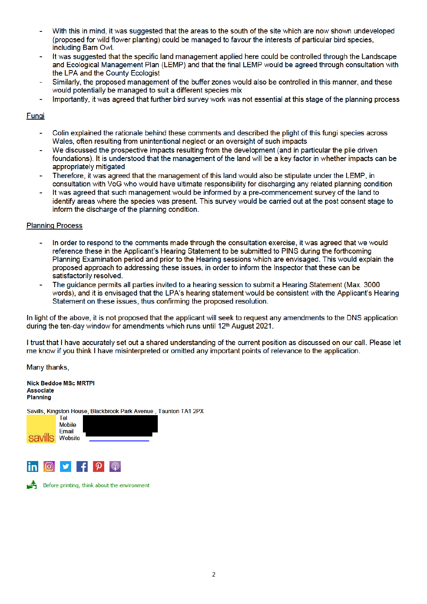- With this in mind, it was suggested that the areas to the south of the site which are now shown undeveloped (proposed for wild flower planting) could be managed to favour the interests of particular bird species. including Barn Owl.
- It was suggested that the specific land management applied here could be controlled through the Landscape and Ecological Management Plan (LEMP) and that the final LEMP would be agreed through consultation with the LPA and the County Ecologist
- Similarly, the proposed management of the buffer zones would also be controlled in this manner, and these would potentially be managed to suit a different species mix
- Importantly, it was agreed that further bird survey work was not essential at this stage of the planning process

### Fungi

- Colin explained the rationale behind these comments and described the plight of this fungi species across Wales, often resulting from unintentional neglect or an oversight of such impacts
- We discussed the prospective impacts resulting from the development (and in particular the pile driven foundations). It is understood that the management of the land will be a key factor in whether impacts can be appropriately mitigated
- Therefore, it was agreed that the management of this land would also be stipulate under the LEMP, in consultation with VoG who would have ultimate responsibility for discharging any related planning condition
- It was agreed that such management would be informed by a pre-commencement survey of the land to identify areas where the species was present. This survey would be carried out at the post consent stage to inform the discharge of the planning condition.

## **Planning Process**

- In order to respond to the comments made through the consultation exercise, it was agreed that we would reference these in the Applicant's Hearing Statement to be submitted to PINS during the forthcoming Planning Examination period and prior to the Hearing sessions which are envisaged. This would explain the proposed approach to addressing these issues, in order to inform the Inspector that these can be satisfactorily resolved.
- The quidance permits all parties invited to a hearing session to submit a Hearing Statement (Max. 3000) words), and it is envisaged that the LPA's hearing statement would be consistent with the Applicant's Hearing Statement on these issues, thus confirming the proposed resolution.

In light of the above, it is not proposed that the applicant will seek to request any amendments to the DNS application during the ten-day window for amendments which runs until 12<sup>th</sup> August 2021.

I trust that I have accurately set out a shared understanding of the current position as discussed on our call. Please let me know if you think I have misinterpreted or omitted any important points of relevance to the application.

Many thanks,

**Nick Beddoe MSc MRTPI Associate Planning** 

Savills, Kingston House, Blackbrook Park Avenue, Taunton TA1 2PX



Before printing, think about the environment